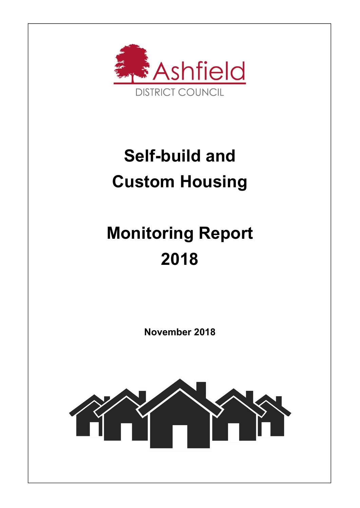

## Self-build and Custom Housing

# Monitoring Report 2018

November 2018

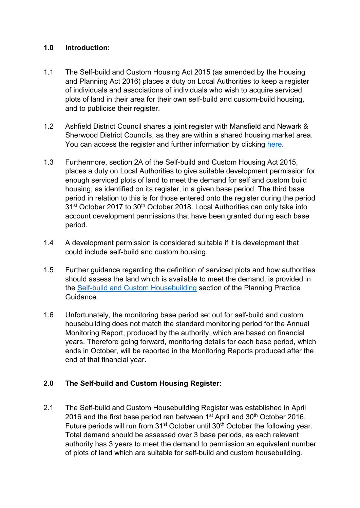#### 1.0 Introduction:

- 1.1 The Self-build and Custom Housing Act 2015 (as amended by the Housing and Planning Act 2016) places a duty on Local Authorities to keep a register of individuals and associations of individuals who wish to acquire serviced plots of land in their area for their own self-build and custom-build housing, and to publicise their register.
- 1.2 Ashfield District Council shares a joint register with Mansfield and Newark & Sherwood District Councils, as they are within a shared housing market area. You can access the register and further information by clicking here.
- 1.3 Furthermore, section 2A of the Self-build and Custom Housing Act 2015, places a duty on Local Authorities to give suitable development permission for enough serviced plots of land to meet the demand for self and custom build housing, as identified on its register, in a given base period. The third base period in relation to this is for those entered onto the register during the period 31<sup>st</sup> October 2017 to 30<sup>th</sup> October 2018. Local Authorities can only take into account development permissions that have been granted during each base period.
- 1.4 A development permission is considered suitable if it is development that could include self-build and custom housing.
- 1.5 Further guidance regarding the definition of serviced plots and how authorities should assess the land which is available to meet the demand, is provided in the Self-build and Custom Housebuilding section of the Planning Practice Guidance.
- 1.6 Unfortunately, the monitoring base period set out for self-build and custom housebuilding does not match the standard monitoring period for the Annual Monitoring Report, produced by the authority, which are based on financial years. Therefore going forward, monitoring details for each base period, which ends in October, will be reported in the Monitoring Reports produced after the end of that financial year.

### 2.0 The Self-build and Custom Housing Register:

2.1 The Self-build and Custom Housebuilding Register was established in April 2016 and the first base period ran between  $1<sup>st</sup>$  April and  $30<sup>th</sup>$  October 2016. Future periods will run from 31<sup>st</sup> October until 30<sup>th</sup> October the following year. Total demand should be assessed over 3 base periods, as each relevant authority has 3 years to meet the demand to permission an equivalent number of plots of land which are suitable for self-build and custom housebuilding.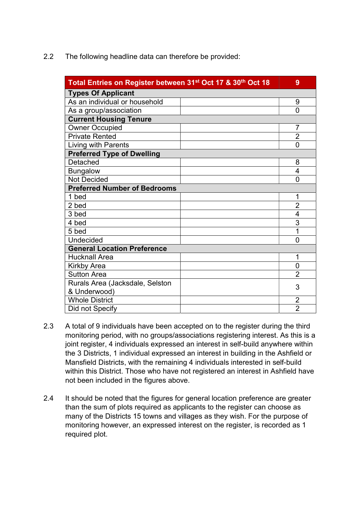2.2 The following headline data can therefore be provided:

| Total Entries on Register between 31st Oct 17 & 30th Oct 18 |  | 9              |  |
|-------------------------------------------------------------|--|----------------|--|
| <b>Types Of Applicant</b>                                   |  |                |  |
| As an individual or household                               |  | 9              |  |
| As a group/association                                      |  | $\Omega$       |  |
| <b>Current Housing Tenure</b>                               |  |                |  |
| <b>Owner Occupied</b>                                       |  | 7              |  |
| <b>Private Rented</b>                                       |  | $\overline{2}$ |  |
| Living with Parents                                         |  | 0              |  |
| <b>Preferred Type of Dwelling</b>                           |  |                |  |
| Detached                                                    |  | 8              |  |
| <b>Bungalow</b>                                             |  | $\overline{4}$ |  |
| <b>Not Decided</b>                                          |  | $\Omega$       |  |
| <b>Preferred Number of Bedrooms</b>                         |  |                |  |
| 1 bed                                                       |  | 1              |  |
| 2 bed                                                       |  | $\overline{2}$ |  |
| 3 bed                                                       |  | $\overline{4}$ |  |
| 4 bed                                                       |  | 3              |  |
| 5 bed                                                       |  | 1              |  |
| <b>Undecided</b>                                            |  | $\overline{0}$ |  |
| <b>General Location Preference</b>                          |  |                |  |
| <b>Hucknall Area</b>                                        |  | 1              |  |
| <b>Kirkby Area</b>                                          |  | 0              |  |
| <b>Sutton Area</b>                                          |  | $\overline{2}$ |  |
| Rurals Area (Jacksdale, Selston                             |  | 3              |  |
| & Underwood)                                                |  |                |  |
| <b>Whole District</b>                                       |  | $\overline{2}$ |  |
| Did not Specify                                             |  | $\overline{2}$ |  |

- 2.3 A total of 9 individuals have been accepted on to the register during the third monitoring period, with no groups/associations registering interest. As this is a joint register, 4 individuals expressed an interest in self-build anywhere within the 3 Districts, 1 individual expressed an interest in building in the Ashfield or Mansfield Districts, with the remaining 4 individuals interested in self-build within this District. Those who have not registered an interest in Ashfield have not been included in the figures above.
- 2.4 It should be noted that the figures for general location preference are greater than the sum of plots required as applicants to the register can choose as many of the Districts 15 towns and villages as they wish. For the purpose of monitoring however, an expressed interest on the register, is recorded as 1 required plot.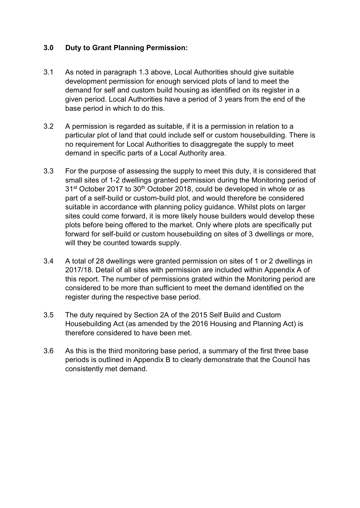#### 3.0 Duty to Grant Planning Permission:

- 3.1 As noted in paragraph 1.3 above, Local Authorities should give suitable development permission for enough serviced plots of land to meet the demand for self and custom build housing as identified on its register in a given period. Local Authorities have a period of 3 years from the end of the base period in which to do this.
- 3.2 A permission is regarded as suitable, if it is a permission in relation to a particular plot of land that could include self or custom housebuilding. There is no requirement for Local Authorities to disaggregate the supply to meet demand in specific parts of a Local Authority area.
- 3.3 For the purpose of assessing the supply to meet this duty, it is considered that small sites of 1-2 dwellings granted permission during the Monitoring period of 31<sup>st</sup> October 2017 to 30<sup>th</sup> October 2018, could be developed in whole or as part of a self-build or custom-build plot, and would therefore be considered suitable in accordance with planning policy guidance. Whilst plots on larger sites could come forward, it is more likely house builders would develop these plots before being offered to the market. Only where plots are specifically put forward for self-build or custom housebuilding on sites of 3 dwellings or more, will they be counted towards supply.
- 3.4 A total of 28 dwellings were granted permission on sites of 1 or 2 dwellings in 2017/18. Detail of all sites with permission are included within Appendix A of this report. The number of permissions grated within the Monitoring period are considered to be more than sufficient to meet the demand identified on the register during the respective base period.
- 3.5 The duty required by Section 2A of the 2015 Self Build and Custom Housebuilding Act (as amended by the 2016 Housing and Planning Act) is therefore considered to have been met.
- 3.6 As this is the third monitoring base period, a summary of the first three base periods is outlined in Appendix B to clearly demonstrate that the Council has consistently met demand.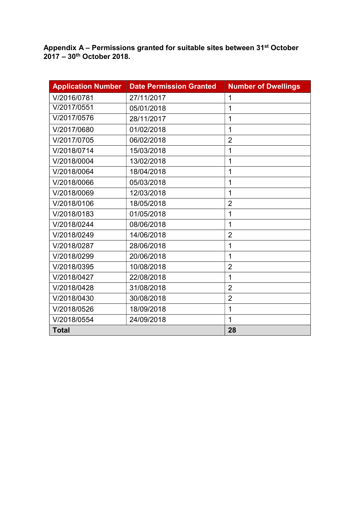Appendix A – Permissions granted for suitable sites between 31<sup>st</sup> October 2017 – 30th October 2018.

| <b>Application Number</b> | <b>Date Permission Granted</b> | <b>Number of Dwellings</b> |
|---------------------------|--------------------------------|----------------------------|
| V/2016/0781               | 27/11/2017                     | $\mathbf 1$                |
| V/2017/0551               | 05/01/2018                     | 1                          |
| V/2017/0576               | 28/11/2017                     | 1                          |
| V/2017/0680               | 01/02/2018                     | 1                          |
| V/2017/0705               | 06/02/2018                     | $\overline{2}$             |
| V/2018/0714               | 15/03/2018                     | 1                          |
| V/2018/0004               | 13/02/2018                     | 1                          |
| V/2018/0064               | 18/04/2018                     | 1                          |
| V/2018/0066               | 05/03/2018                     | 1                          |
| V/2018/0069               | 12/03/2018                     | 1                          |
| V/2018/0106               | 18/05/2018                     | $\overline{2}$             |
| V/2018/0183               | 01/05/2018                     | 1                          |
| V/2018/0244               | 08/06/2018                     | 1                          |
| V/2018/0249               | 14/06/2018                     | $\overline{2}$             |
| V/2018/0287               | 28/06/2018                     | 1                          |
| V/2018/0299               | 20/06/2018                     | 1                          |
| V/2018/0395               | 10/08/2018                     | $\overline{2}$             |
| V/2018/0427               | 22/08/2018                     | 1                          |
| V/2018/0428               | 31/08/2018                     | $\overline{2}$             |
| V/2018/0430               | 30/08/2018                     | $\overline{2}$             |
| V/2018/0526               | 18/09/2018                     | 1                          |
| V/2018/0554               | 24/09/2018                     | 1                          |
| <b>Total</b>              |                                | 28                         |